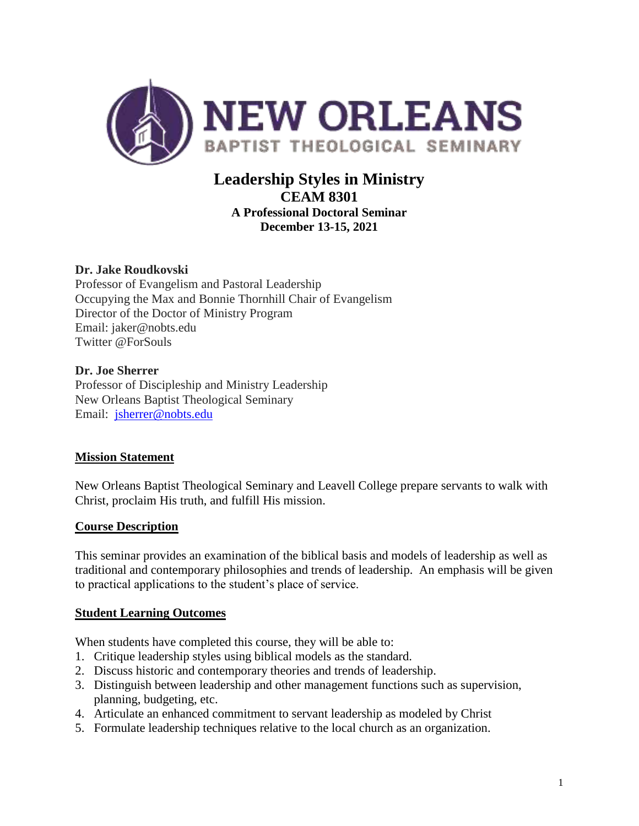

# **Leadership Styles in Ministry CEAM 8301 A Professional Doctoral Seminar December 13-15, 2021**

# **Dr. Jake Roudkovski**

Professor of Evangelism and Pastoral Leadership Occupying the Max and Bonnie Thornhill Chair of Evangelism Director of the Doctor of Ministry Program Email: jaker@nobts.edu Twitter @ForSouls

#### **Dr. Joe Sherrer**

Professor of Discipleship and Ministry Leadership New Orleans Baptist Theological Seminary Email: [jsherrer@nobts.edu](mailto:jsherrer@nobts.edu)

# **Mission Statement**

New Orleans Baptist Theological Seminary and Leavell College prepare servants to walk with Christ, proclaim His truth, and fulfill His mission.

#### **Course Description**

This seminar provides an examination of the biblical basis and models of leadership as well as traditional and contemporary philosophies and trends of leadership. An emphasis will be given to practical applications to the student's place of service.

# **Student Learning Outcomes**

When students have completed this course, they will be able to:

- 1. Critique leadership styles using biblical models as the standard.
- 2. Discuss historic and contemporary theories and trends of leadership.
- 3. Distinguish between leadership and other management functions such as supervision, planning, budgeting, etc.
- 4. Articulate an enhanced commitment to servant leadership as modeled by Christ
- 5. Formulate leadership techniques relative to the local church as an organization.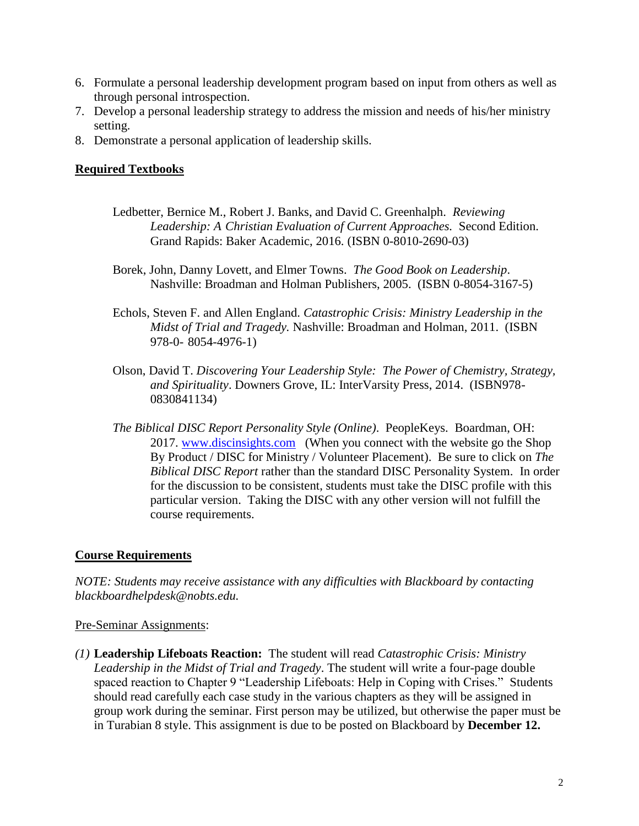- 6. Formulate a personal leadership development program based on input from others as well as through personal introspection.
- 7. Develop a personal leadership strategy to address the mission and needs of his/her ministry setting.
- 8. Demonstrate a personal application of leadership skills.

### **Required Textbooks**

- Ledbetter, Bernice M., Robert J. Banks, and David C. Greenhalph. *Reviewing Leadership: A Christian Evaluation of Current Approaches.* Second Edition. Grand Rapids: Baker Academic, 2016. (ISBN 0-8010-2690-03)
- Borek, John, Danny Lovett, and Elmer Towns. *The Good Book on Leadership*. Nashville: Broadman and Holman Publishers, 2005. (ISBN 0-8054-3167-5)
- Echols, Steven F. and Allen England. *Catastrophic Crisis: Ministry Leadership in the Midst of Trial and Tragedy.* Nashville: Broadman and Holman, 2011. (ISBN 978-0- 8054-4976-1)
- Olson, David T. *Discovering Your Leadership Style: The Power of Chemistry, Strategy, and Spirituality*. Downers Grove, IL: InterVarsity Press, 2014. (ISBN978- 0830841134)
- *The Biblical DISC Report Personality Style (Online)*. PeopleKeys. Boardman, OH: 2017. [www.discinsights.com](http://www.discinsights.com/) (When you connect with the website go the Shop By Product / DISC for Ministry / Volunteer Placement). Be sure to click on *The Biblical DISC Report* rather than the standard DISC Personality System. In order for the discussion to be consistent, students must take the DISC profile with this particular version. Taking the DISC with any other version will not fulfill the course requirements.

# **Course Requirements**

*NOTE: Students may receive assistance with any difficulties with Blackboard by contacting blackboardhelpdesk@nobts.edu.*

#### Pre-Seminar Assignments:

*(1)* **Leadership Lifeboats Reaction:** The student will read *Catastrophic Crisis: Ministry Leadership in the Midst of Trial and Tragedy*. The student will write a four-page double spaced reaction to Chapter 9 "Leadership Lifeboats: Help in Coping with Crises." Students should read carefully each case study in the various chapters as they will be assigned in group work during the seminar. First person may be utilized, but otherwise the paper must be in Turabian 8 style. This assignment is due to be posted on Blackboard by **December 12.**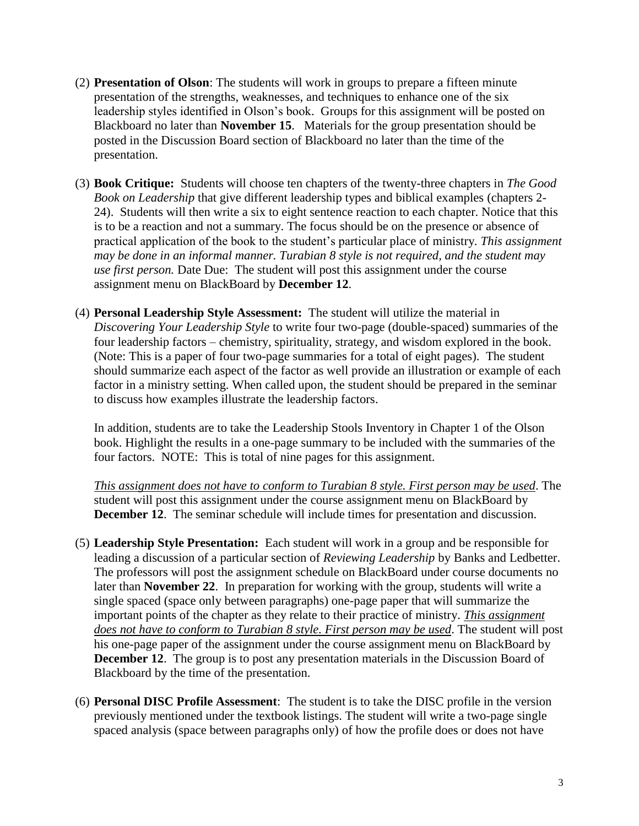- (2) **Presentation of Olson**: The students will work in groups to prepare a fifteen minute presentation of the strengths, weaknesses, and techniques to enhance one of the six leadership styles identified in Olson's book. Groups for this assignment will be posted on Blackboard no later than **November 15**. Materials for the group presentation should be posted in the Discussion Board section of Blackboard no later than the time of the presentation.
- (3) **Book Critique:** Students will choose ten chapters of the twenty-three chapters in *The Good Book on Leadership* that give different leadership types and biblical examples (chapters 2- 24). Students will then write a six to eight sentence reaction to each chapter. Notice that this is to be a reaction and not a summary. The focus should be on the presence or absence of practical application of the book to the student's particular place of ministry*. This assignment may be done in an informal manner. Turabian 8 style is not required, and the student may use first person.* Date Due: The student will post this assignment under the course assignment menu on BlackBoard by **December 12**.
- (4) **Personal Leadership Style Assessment:** The student will utilize the material in *Discovering Your Leadership Style* to write four two-page (double-spaced) summaries of the four leadership factors – chemistry, spirituality, strategy, and wisdom explored in the book. (Note: This is a paper of four two-page summaries for a total of eight pages). The student should summarize each aspect of the factor as well provide an illustration or example of each factor in a ministry setting. When called upon, the student should be prepared in the seminar to discuss how examples illustrate the leadership factors.

In addition, students are to take the Leadership Stools Inventory in Chapter 1 of the Olson book. Highlight the results in a one-page summary to be included with the summaries of the four factors. NOTE: This is total of nine pages for this assignment.

*This assignment does not have to conform to Turabian 8 style. First person may be used*. The student will post this assignment under the course assignment menu on BlackBoard by **December 12**. The seminar schedule will include times for presentation and discussion.

- (5) **Leadership Style Presentation:** Each student will work in a group and be responsible for leading a discussion of a particular section of *Reviewing Leadership* by Banks and Ledbetter. The professors will post the assignment schedule on BlackBoard under course documents no later than **November 22**. In preparation for working with the group, students will write a single spaced (space only between paragraphs) one-page paper that will summarize the important points of the chapter as they relate to their practice of ministry. *This assignment does not have to conform to Turabian 8 style. First person may be used*. The student will post his one-page paper of the assignment under the course assignment menu on BlackBoard by **December 12.** The group is to post any presentation materials in the Discussion Board of Blackboard by the time of the presentation.
- (6) **Personal DISC Profile Assessment**: The student is to take the DISC profile in the version previously mentioned under the textbook listings. The student will write a two-page single spaced analysis (space between paragraphs only) of how the profile does or does not have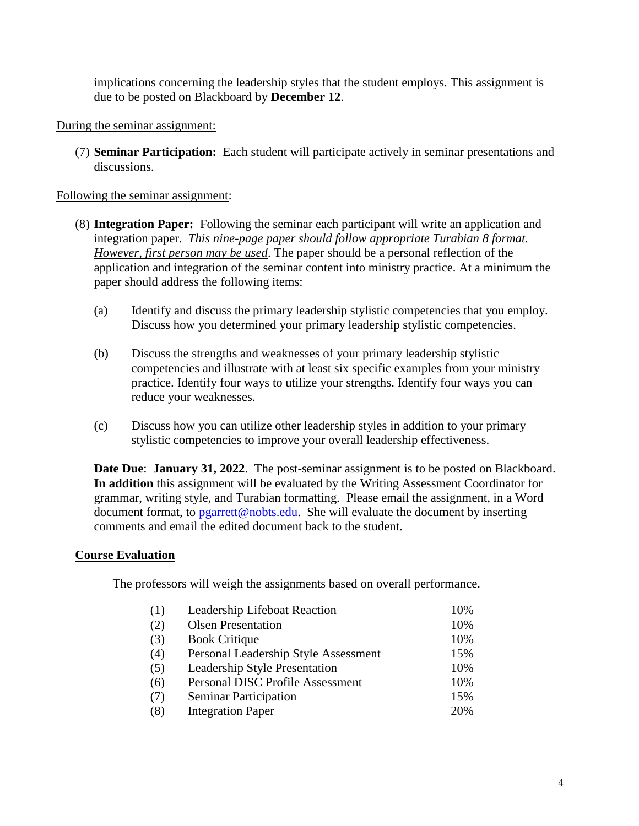implications concerning the leadership styles that the student employs. This assignment is due to be posted on Blackboard by **December 12**.

#### During the seminar assignment:

(7) **Seminar Participation:** Each student will participate actively in seminar presentations and discussions.

#### Following the seminar assignment:

- (8) **Integration Paper:** Following the seminar each participant will write an application and integration paper. *This nine-page paper should follow appropriate Turabian 8 format. However, first person may be used*. The paper should be a personal reflection of the application and integration of the seminar content into ministry practice. At a minimum the paper should address the following items:
	- (a) Identify and discuss the primary leadership stylistic competencies that you employ. Discuss how you determined your primary leadership stylistic competencies.
	- (b) Discuss the strengths and weaknesses of your primary leadership stylistic competencies and illustrate with at least six specific examples from your ministry practice. Identify four ways to utilize your strengths. Identify four ways you can reduce your weaknesses.
	- (c) Discuss how you can utilize other leadership styles in addition to your primary stylistic competencies to improve your overall leadership effectiveness.

**Date Due**: **January 31, 2022**. The post-seminar assignment is to be posted on Blackboard. **In addition** this assignment will be evaluated by the Writing Assessment Coordinator for grammar, writing style, and Turabian formatting. Please email the assignment, in a Word document format, to [pgarrett@nobts.edu.](mailto:pgarrett@nobts.edu) She will evaluate the document by inserting comments and email the edited document back to the student.

#### **Course Evaluation**

The professors will weigh the assignments based on overall performance.

| (1) | Leadership Lifeboat Reaction            | 10% |
|-----|-----------------------------------------|-----|
| (2) | <b>Olsen Presentation</b>               | 10% |
| (3) | <b>Book Critique</b>                    | 10% |
| (4) | Personal Leadership Style Assessment    | 15% |
| (5) | Leadership Style Presentation           | 10% |
| (6) | <b>Personal DISC Profile Assessment</b> | 10% |
| (7) | <b>Seminar Participation</b>            | 15% |
| (8) | <b>Integration Paper</b>                | 20% |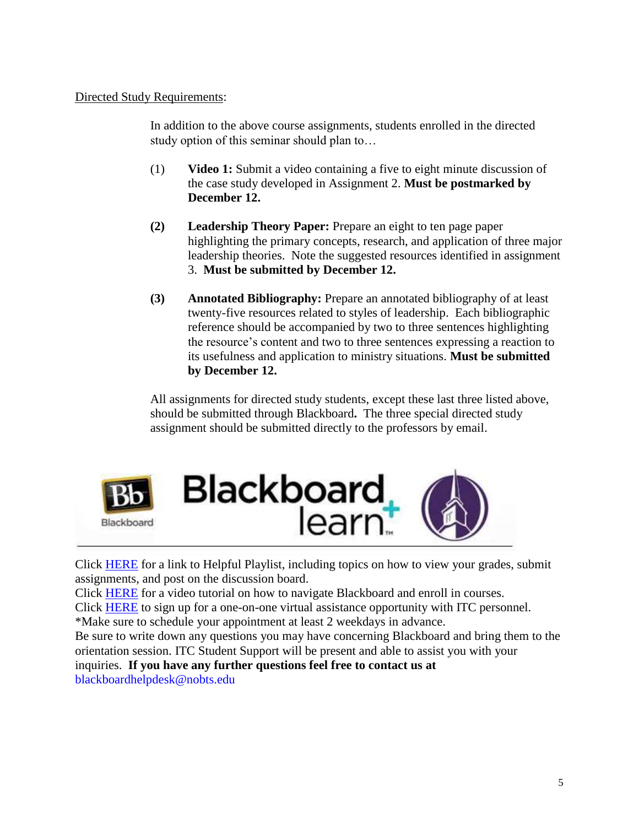Directed Study Requirements:

In addition to the above course assignments, students enrolled in the directed study option of this seminar should plan to…

- (1) **Video 1:** Submit a video containing a five to eight minute discussion of the case study developed in Assignment 2. **Must be postmarked by December 12.**
- **(2) Leadership Theory Paper:** Prepare an eight to ten page paper highlighting the primary concepts, research, and application of three major leadership theories. Note the suggested resources identified in assignment 3. **Must be submitted by December 12.**
- **(3) Annotated Bibliography:** Prepare an annotated bibliography of at least twenty-five resources related to styles of leadership. Each bibliographic reference should be accompanied by two to three sentences highlighting the resource's content and two to three sentences expressing a reaction to its usefulness and application to ministry situations. **Must be submitted by December 12.**

All assignments for directed study students, except these last three listed above, should be submitted through Blackboard**.** The three special directed study assignment should be submitted directly to the professors by email.



Click [HERE](https://help.blackboard.com/en-us/Learn/Reference/Blackboard_Learn_Videos/Student_Videos) for a link to Helpful Playlist, including topics on how to view your grades, submit assignments, and post on the discussion board.

Click [HERE](https://www.youtube.com/watch?v=-vFm_r4iG6A) for a video tutorial on how to navigate Blackboard and enroll in courses.

Click [HERE](https://docs.google.com/forms/d/1aacdCHQyhsSRj0wRCGNEh-tal8hvFFfaHkSXios8Yk0/viewform) to sign up for a one-on-one virtual assistance opportunity with ITC personnel. \*Make sure to schedule your appointment at least 2 weekdays in advance.

Be sure to write down any questions you may have concerning Blackboard and bring them to the orientation session. ITC Student Support will be present and able to assist you with your inquiries. **If you have any further questions feel free to contact us at**

blackboardhelpdesk@nobts.edu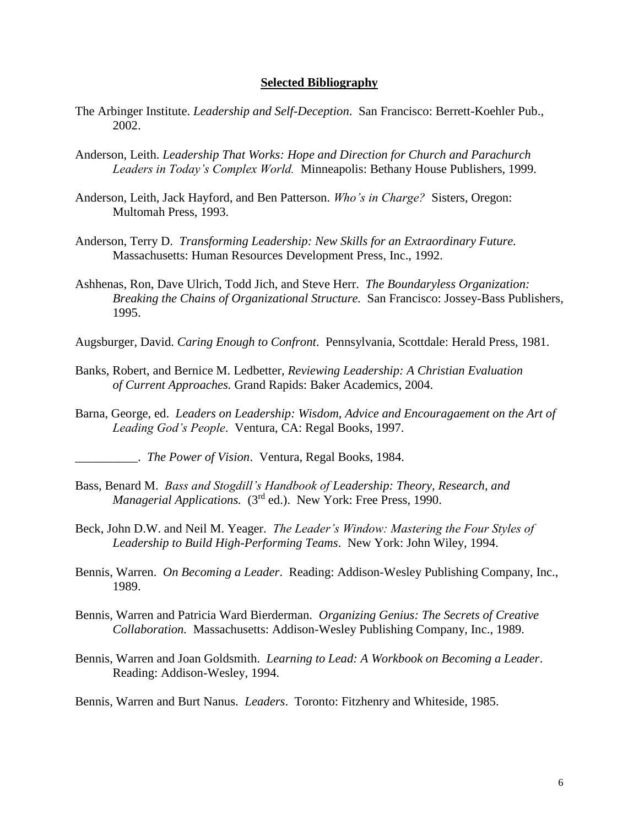#### **Selected Bibliography**

- The Arbinger Institute. *Leadership and Self-Deception*. San Francisco: Berrett-Koehler Pub., 2002.
- Anderson, Leith. *Leadership That Works: Hope and Direction for Church and Parachurch Leaders in Today's Complex World.* Minneapolis: Bethany House Publishers, 1999.
- Anderson, Leith, Jack Hayford, and Ben Patterson. *Who's in Charge?* Sisters, Oregon: Multomah Press, 1993.
- Anderson, Terry D. *Transforming Leadership: New Skills for an Extraordinary Future.* Massachusetts: Human Resources Development Press, Inc., 1992.
- Ashhenas, Ron, Dave Ulrich, Todd Jich, and Steve Herr. *The Boundaryless Organization: Breaking the Chains of Organizational Structure.* San Francisco: Jossey-Bass Publishers, 1995.

Augsburger, David. *Caring Enough to Confront*. Pennsylvania, Scottdale: Herald Press, 1981.

- Banks, Robert, and Bernice M. Ledbetter, *Reviewing Leadership: A Christian Evaluation of Current Approaches.* Grand Rapids: Baker Academics, 2004.
- Barna, George, ed. *Leaders on Leadership: Wisdom, Advice and Encouragaement on the Art of Leading God's People*. Ventura, CA: Regal Books, 1997.
	- \_\_\_\_\_\_\_\_\_\_. *The Power of Vision*. Ventura, Regal Books, 1984.
- Bass, Benard M. *Bass and Stogdill's Handbook of Leadership: Theory, Research, and Managerial Applications.* (3<sup>rd</sup> ed.). New York: Free Press, 1990.
- Beck, John D.W. and Neil M. Yeager. *The Leader's Window: Mastering the Four Styles of Leadership to Build High-Performing Teams*. New York: John Wiley, 1994.
- Bennis, Warren. *On Becoming a Leader*. Reading: Addison-Wesley Publishing Company, Inc., 1989.
- Bennis, Warren and Patricia Ward Bierderman. *Organizing Genius: The Secrets of Creative Collaboration.* Massachusetts: Addison-Wesley Publishing Company, Inc., 1989.
- Bennis, Warren and Joan Goldsmith. *Learning to Lead: A Workbook on Becoming a Leader*. Reading: Addison-Wesley, 1994.
- Bennis, Warren and Burt Nanus. *Leaders*. Toronto: Fitzhenry and Whiteside, 1985.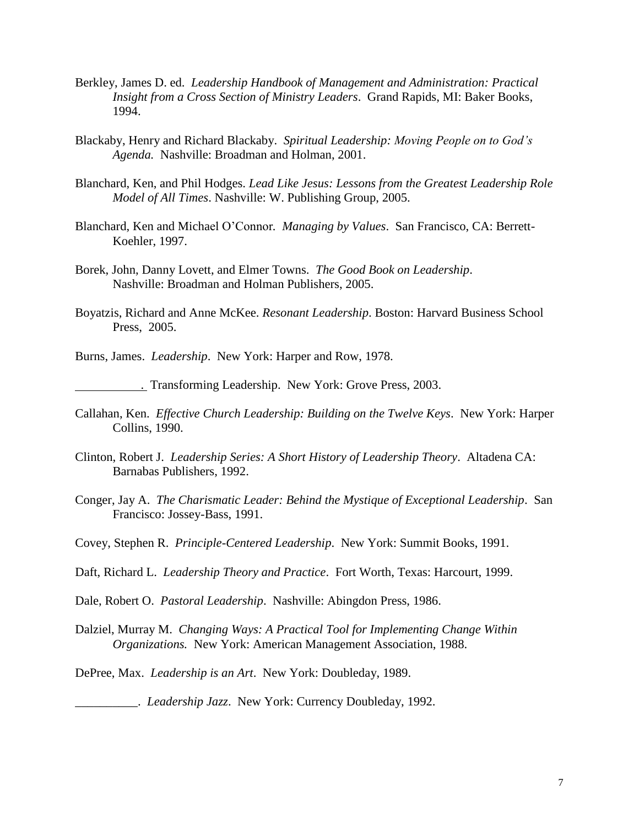- Berkley, James D. ed. *Leadership Handbook of Management and Administration: Practical Insight from a Cross Section of Ministry Leaders*. Grand Rapids, MI: Baker Books, 1994.
- Blackaby, Henry and Richard Blackaby. *Spiritual Leadership: Moving People on to God's Agenda.* Nashville: Broadman and Holman, 2001.
- Blanchard, Ken, and Phil Hodges. *Lead Like Jesus: Lessons from the Greatest Leadership Role Model of All Times*. Nashville: W. Publishing Group, 2005.
- Blanchard, Ken and Michael O'Connor*. Managing by Values*. San Francisco, CA: Berrett-Koehler, 1997.
- Borek, John, Danny Lovett, and Elmer Towns. *The Good Book on Leadership*. Nashville: Broadman and Holman Publishers, 2005.
- Boyatzis, Richard and Anne McKee. *Resonant Leadership*. Boston: Harvard Business School Press, 2005.
- Burns, James. *Leadership*. New York: Harper and Row, 1978.

. Transforming Leadership. New York: Grove Press, 2003.

- Callahan, Ken. *Effective Church Leadership: Building on the Twelve Keys*. New York: Harper Collins, 1990.
- Clinton, Robert J. *Leadership Series: A Short History of Leadership Theory*. Altadena CA: Barnabas Publishers, 1992.
- Conger, Jay A. *The Charismatic Leader: Behind the Mystique of Exceptional Leadership*. San Francisco: Jossey-Bass, 1991.
- Covey, Stephen R. *Principle-Centered Leadership*. New York: Summit Books, 1991.
- Daft, Richard L. *Leadership Theory and Practice*. Fort Worth, Texas: Harcourt, 1999.
- Dale, Robert O. *Pastoral Leadership*. Nashville: Abingdon Press, 1986.
- Dalziel, Murray M. *Changing Ways: A Practical Tool for Implementing Change Within Organizations.* New York: American Management Association, 1988.
- DePree, Max. *Leadership is an Art*. New York: Doubleday, 1989.

\_\_\_\_\_\_\_\_\_\_. *Leadership Jazz*. New York: Currency Doubleday, 1992.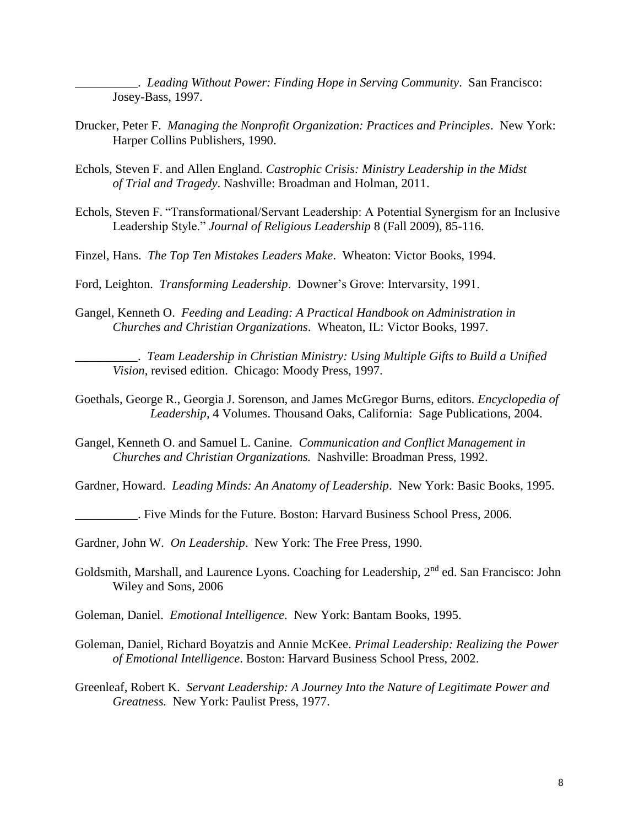\_\_\_\_\_\_\_\_\_\_. *Leading Without Power: Finding Hope in Serving Community*. San Francisco: Josey-Bass, 1997.

- Drucker, Peter F. *Managing the Nonprofit Organization: Practices and Principles*. New York: Harper Collins Publishers, 1990.
- Echols, Steven F. and Allen England. *Castrophic Crisis: Ministry Leadership in the Midst of Trial and Tragedy*. Nashville: Broadman and Holman, 2011.
- Echols, Steven F. "Transformational/Servant Leadership: A Potential Synergism for an Inclusive Leadership Style." *Journal of Religious Leadership* 8 (Fall 2009), 85-116.
- Finzel, Hans. *The Top Ten Mistakes Leaders Make*. Wheaton: Victor Books, 1994.
- Ford, Leighton. *Transforming Leadership*. Downer's Grove: Intervarsity, 1991.
- Gangel, Kenneth O. *Feeding and Leading: A Practical Handbook on Administration in Churches and Christian Organizations*. Wheaton, IL: Victor Books, 1997.

\_\_\_\_\_\_\_\_\_\_. *Team Leadership in Christian Ministry: Using Multiple Gifts to Build a Unified Vision*, revised edition. Chicago: Moody Press, 1997.

- Goethals, George R., Georgia J. Sorenson, and James McGregor Burns, editors. *Encyclopedia of Leadership,* 4 Volumes. Thousand Oaks, California: Sage Publications, 2004.
- Gangel, Kenneth O. and Samuel L. Canine. *Communication and Conflict Management in Churches and Christian Organizations.* Nashville: Broadman Press, 1992.

Gardner, Howard. *Leading Minds: An Anatomy of Leadership*. New York: Basic Books, 1995.

\_\_\_\_\_\_\_\_\_\_. Five Minds for the Future. Boston: Harvard Business School Press, 2006.

Gardner, John W. *On Leadership*. New York: The Free Press, 1990.

- Goldsmith, Marshall, and Laurence Lyons. Coaching for Leadership, 2<sup>nd</sup> ed. San Francisco: John Wiley and Sons, 2006
- Goleman, Daniel. *Emotional Intelligence*. New York: Bantam Books, 1995.
- Goleman, Daniel, Richard Boyatzis and Annie McKee. *Primal Leadership: Realizing the Power of Emotional Intelligence*. Boston: Harvard Business School Press, 2002.
- Greenleaf, Robert K. *Servant Leadership: A Journey Into the Nature of Legitimate Power and Greatness.* New York: Paulist Press, 1977.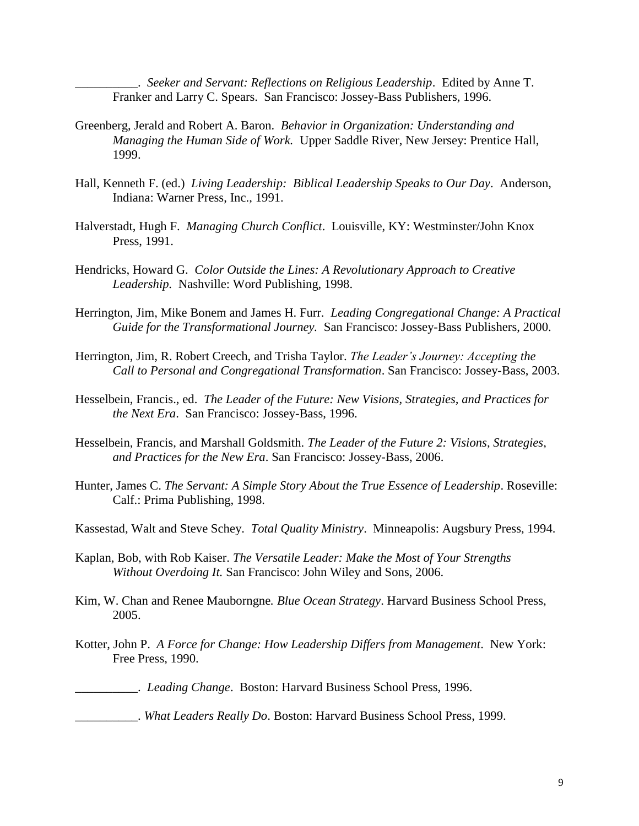\_\_\_\_\_\_\_\_\_\_. *Seeker and Servant: Reflections on Religious Leadership*. Edited by Anne T. Franker and Larry C. Spears. San Francisco: Jossey-Bass Publishers, 1996.

- Greenberg, Jerald and Robert A. Baron. *Behavior in Organization: Understanding and Managing the Human Side of Work.* Upper Saddle River, New Jersey: Prentice Hall, 1999.
- Hall, Kenneth F. (ed.) *Living Leadership: Biblical Leadership Speaks to Our Day*. Anderson, Indiana: Warner Press, Inc., 1991.
- Halverstadt, Hugh F. *Managing Church Conflict*. Louisville, KY: Westminster/John Knox Press, 1991.
- Hendricks, Howard G. *Color Outside the Lines: A Revolutionary Approach to Creative Leadership.* Nashville: Word Publishing, 1998.
- Herrington, Jim, Mike Bonem and James H. Furr. *Leading Congregational Change: A Practical Guide for the Transformational Journey.* San Francisco: Jossey-Bass Publishers, 2000.
- Herrington, Jim, R. Robert Creech, and Trisha Taylor. *The Leader's Journey: Accepting the Call to Personal and Congregational Transformation*. San Francisco: Jossey-Bass, 2003.
- Hesselbein, Francis., ed. *The Leader of the Future: New Visions, Strategies, and Practices for the Next Era*. San Francisco: Jossey-Bass, 1996.
- Hesselbein, Francis, and Marshall Goldsmith. *The Leader of the Future 2: Visions, Strategies, and Practices for the New Era*. San Francisco: Jossey-Bass, 2006.
- Hunter, James C. *The Servant: A Simple Story About the True Essence of Leadership*. Roseville: Calf.: Prima Publishing, 1998.
- Kassestad, Walt and Steve Schey. *Total Quality Ministry*. Minneapolis: Augsbury Press, 1994.
- Kaplan, Bob, with Rob Kaiser. *The Versatile Leader: Make the Most of Your Strengths Without Overdoing It.* San Francisco: John Wiley and Sons, 2006.
- Kim, W. Chan and Renee Mauborngne*. Blue Ocean Strategy*. Harvard Business School Press, 2005.
- Kotter, John P. *A Force for Change: How Leadership Differs from Management*. New York: Free Press, 1990.

\_\_\_\_\_\_\_\_\_\_. *Leading Change*. Boston: Harvard Business School Press, 1996.

\_\_\_\_\_\_\_\_\_\_. *What Leaders Really Do*. Boston: Harvard Business School Press, 1999.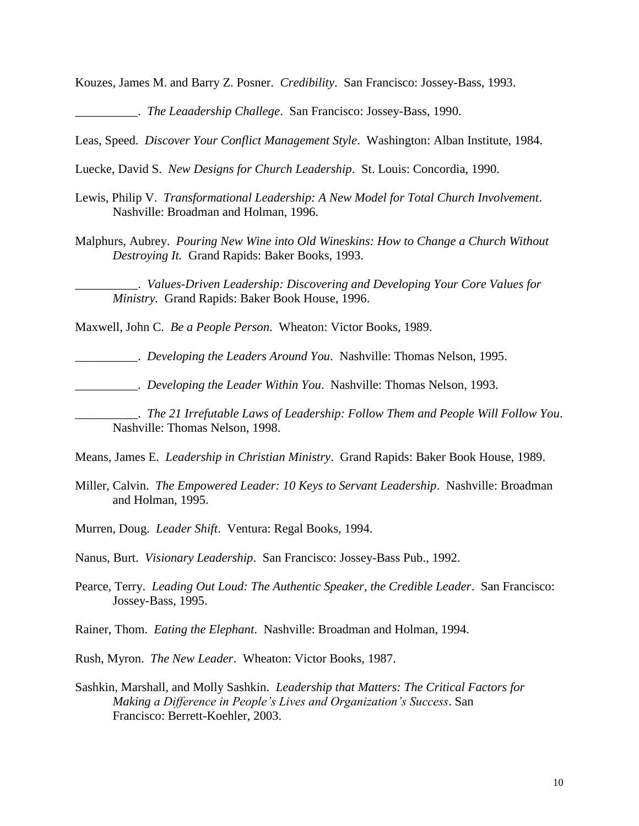Kouzes, James M. and Barry Z. Posner. *Credibility*. San Francisco: Jossey-Bass, 1993.

\_\_\_\_\_\_\_\_\_\_. *The Leaadership Challege*. San Francisco: Jossey-Bass, 1990.

Leas, Speed. *Discover Your Conflict Management Style*. Washington: Alban Institute, 1984.

Luecke, David S. *New Designs for Church Leadership*. St. Louis: Concordia, 1990.

- Lewis, Philip V. *Transformational Leadership: A New Model for Total Church Involvement*. Nashville: Broadman and Holman, 1996.
- Malphurs, Aubrey. *Pouring New Wine into Old Wineskins: How to Change a Church Without Destroying It.* Grand Rapids: Baker Books, 1993.

\_\_\_\_\_\_\_\_\_\_. *Values-Driven Leadership: Discovering and Developing Your Core Values for Ministry.* Grand Rapids: Baker Book House, 1996.

Maxwell, John C. *Be a People Person*. Wheaton: Victor Books, 1989.

\_\_\_\_\_\_\_\_\_\_. *Developing the Leaders Around You*. Nashville: Thomas Nelson, 1995.

\_\_\_\_\_\_\_\_\_\_. *Developing the Leader Within You*. Nashville: Thomas Nelson, 1993.

\_\_\_\_\_\_\_\_\_\_. *The 21 Irrefutable Laws of Leadership: Follow Them and People Will Follow You*. Nashville: Thomas Nelson, 1998.

Means, James E. *Leadership in Christian Ministry*. Grand Rapids: Baker Book House, 1989.

- Miller, Calvin. *The Empowered Leader: 10 Keys to Servant Leadership*. Nashville: Broadman and Holman, 1995.
- Murren, Doug. *Leader Shift*. Ventura: Regal Books, 1994.

Nanus, Burt. *Visionary Leadership*. San Francisco: Jossey-Bass Pub., 1992.

- Pearce, Terry. *Leading Out Loud: The Authentic Speaker, the Credible Leader*. San Francisco: Jossey-Bass, 1995.
- Rainer, Thom. *Eating the Elephant*. Nashville: Broadman and Holman, 1994.
- Rush, Myron. *The New Leader*. Wheaton: Victor Books, 1987.
- Sashkin, Marshall, and Molly Sashkin. *Leadership that Matters: The Critical Factors for Making a Difference in People's Lives and Organization's Success*. San Francisco: Berrett-Koehler, 2003.